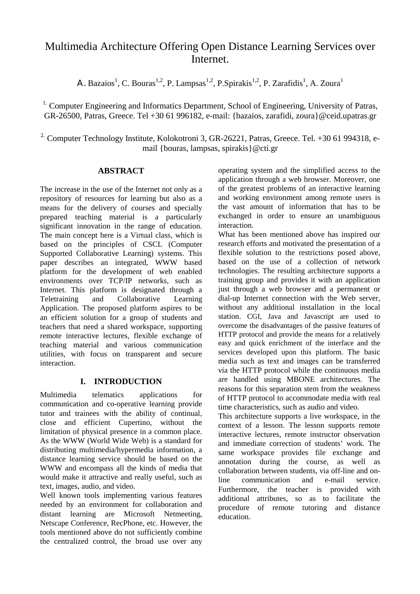# Multimedia Architecture Offering Open Distance Learning Services over **Internet**

A. Bazaios<sup>1</sup>, C. Bouras<sup>1,2</sup>, P. Lampsas<sup>1,2</sup>, P.Spirakis<sup>1,2</sup>, P. Zarafidis<sup>1</sup>, A. Zoura<sup>1</sup>

<sup>1.</sup> Computer Engineering and Informatics Department, School of Engineering, University of Patras, GR-26500, Patras, Greece. Tel +30 61 996182, e-mail: {bazaios, zarafidi, zoura}@ceid.upatras.gr

<sup>2</sup> Computer Technology Institute, Kolokotroni 3, GR-26221, Patras, Greece. Tel. +30 61 994318, email {bouras, lampsas, spirakis}@cti.gr

### **ABSTRACT**

The increase in the use of the Internet not only as a repository of resources for learning but also as a means for the delivery of courses and specially prepared teaching material is a particularly significant innovation in the range of education. The main concept here is a Virtual class, which is based on the principles of CSCL (Computer Supported Collaborative Learning) systems. This paper describes an integrated, WWW based platform for the development of web enabled environments over TCP/IP networks, such as Internet. This platform is designated through a Teletraining and Collaborative Learning Application. The proposed platform aspires to be an efficient solution for a group of students and teachers that need a shared workspace, supporting remote interactive lectures, flexible exchange of teaching material and various communication utilities, with focus on transparent and secure interaction.

# **I. INTRODUCTION**

Multimedia telematics applications for communication and co-operative learning provide tutor and trainees with the ability of continual, close and efficient Cupertino, without the limitation of physical presence in a common place. As the WWW (World Wide Web) is a standard for distributing multimedia/hypermedia information, a distance learning service should be based on the WWW and encompass all the kinds of media that would make it attractive and really useful, such as text, images, audio, and video.

Well known tools implementing various features needed by an environment for collaboration and distant learning are Microsoft Netmeeting, Netscape Conference, RecPhone, etc. However, the tools mentioned above do not sufficiently combine the centralized control, the broad use over any

operating system and the simplified access to the application through a web browser. Moreover, one of the greatest problems of an interactive learning and working environment among remote users is the vast amount of information that has to be exchanged in order to ensure an unambiguous interaction.

What has been mentioned above has inspired our research efforts and motivated the presentation of a flexible solution to the restrictions posed above, based on the use of a collection of network technologies. The resulting architecture supports a training group and provides it with an application just through a web browser and a permanent or dial-up Internet connection with the Web server, without any additional installation in the local station. CGI, Java and Javascript are used to overcome the disadvantages of the passive features of HTTP protocol and provide the means for a relatively easy and quick enrichment of the interface and the services developed upon this platform. The basic media such as text and images can be transferred via the HTTP protocol while the continuous media are handled using MBONE architectures. The reasons for this separation stem from the weakness of HTTP protocol to accommodate media with real time characteristics, such as audio and video.

This architecture supports a live workspace, in the context of a lesson. The lesson supports remote interactive lectures, remote instructor observation and immediate correction of students' work. The same workspace provides file exchange and annotation during the course, as well as collaboration between students, via off-line and online communication and e-mail service. Furthermore, the teacher is provided with additional attributes, so as to facilitate the procedure of remote tutoring and distance education.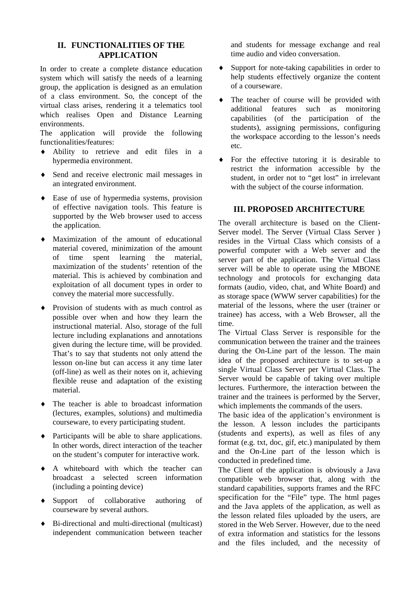### **II. FUNCTIONALITIES OF THE APPLICATION**

In order to create a complete distance education system which will satisfy the needs of a learning group, the application is designed as an emulation of a class environment. So, the concept of the virtual class arises, rendering it a telematics tool which realises Open and Distance Learning environments.

The application will provide the following functionalities/features:

- ♦ Ability to retrieve and edit files in a hypermedia environment.
- ♦ Send and receive electronic mail messages in an integrated environment.
- ♦ Ease of use of hypermedia systems, provision of effective navigation tools. This feature is supported by the Web browser used to access the application.
- ♦ Maximization of the amount of educational material covered, minimization of the amount of time spent learning the material, maximization of the students' retention of the material. This is achieved by combination and exploitation of all document types in order to convey the material more successfully.
- ♦ Provision of students with as much control as possible over when and how they learn the instructional material. Also, storage of the full lecture including explanations and annotations given during the lecture time, will be provided. That's to say that students not only attend the lesson on-line but can access it any time later (off-line) as well as their notes on it, achieving flexible reuse and adaptation of the existing material.
- ♦ The teacher is able to broadcast information (lectures, examples, solutions) and multimedia courseware, to every participating student.
- ♦ Participants will be able to share applications. In other words, direct interaction of the teacher on the student's computer for interactive work.
- ♦ A whiteboard with which the teacher can broadcast a selected screen information (including a pointing device)
- ♦ Support of collaborative authoring of courseware by several authors.
- ♦ Bi-directional and multi-directional (multicast) independent communication between teacher

and students for message exchange and real time audio and video conversation.

- ♦ Support for note-taking capabilities in order to help students effectively organize the content of a courseware.
- ♦ The teacher of course will be provided with additional features such as monitoring capabilities (of the participation of the students), assigning permissions, configuring the workspace according to the lesson's needs etc.
- For the effective tutoring it is desirable to restrict the information accessible by the student, in order not to "get lost" in irrelevant with the subject of the course information.

### **III. PROPOSED ARCHITECTURE**

The overall architecture is based on the Client-Server model. The Server (Virtual Class Server ) resides in the Virtual Class which consists of a powerful computer with a Web server and the server part of the application. The Virtual Class server will be able to operate using the MBONE technology and protocols for exchanging data formats (audio, video, chat, and White Board) and as storage space (WWW server capabilities) for the material of the lessons, where the user (trainer or trainee) has access, with a Web Browser, all the time.

The Virtual Class Server is responsible for the communication between the trainer and the trainees during the On-Line part of the lesson. The main idea of the proposed architecture is to set-up a single Virtual Class Server per Virtual Class. The Server would be capable of taking over multiple lectures. Furthermore, the interaction between the trainer and the trainees is performed by the Server, which implements the commands of the users.

The basic idea of the application's environment is the lesson. A lesson includes the participants (students and experts), as well as files of any format (e.g. txt, doc, gif, etc.) manipulated by them and the On-Line part of the lesson which is conducted in predefined time.

The Client of the application is obviously a Java compatible web browser that, along with the standard capabilities, supports frames and the RFC specification for the "File" type. The html pages and the Java applets of the application, as well as the lesson related files uploaded by the users, are stored in the Web Server. However, due to the need of extra information and statistics for the lessons and the files included, and the necessity of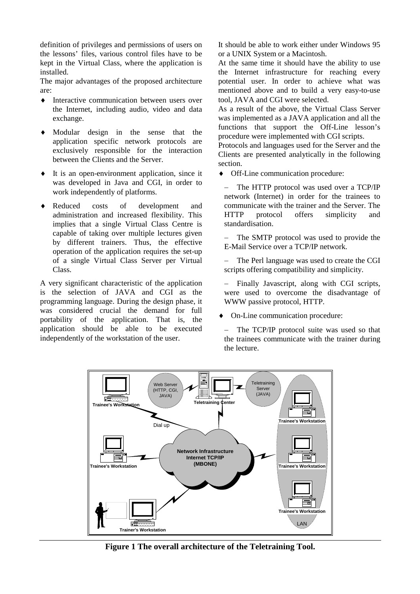definition of privileges and permissions of users on the lessons' files, various control files have to be kept in the Virtual Class, where the application is installed.

The major advantages of the proposed architecture are:

- ♦ Interactive communication between users over the Internet, including audio, video and data exchange.
- ♦ Modular design in the sense that the application specific network protocols are exclusively responsible for the interaction between the Clients and the Server.
- ♦ It is an open-environment application, since it was developed in Java and CGI, in order to work independently of platforms.
- ♦ Reduced costs of development and administration and increased flexibility. This implies that a single Virtual Class Centre is capable of taking over multiple lectures given by different trainers. Thus, the effective operation of the application requires the set-up of a single Virtual Class Server per Virtual Class.

A very significant characteristic of the application is the selection of JAVA and CGI as the programming language. During the design phase, it was considered crucial the demand for full portability of the application. That is, the application should be able to be executed independently of the workstation of the user.

It should be able to work either under Windows 95 or a UNIX System or a Macintosh.

At the same time it should have the ability to use the Internet infrastructure for reaching every potential user. In order to achieve what was mentioned above and to build a very easy-to-use tool, JAVA and CGI were selected.

As a result of the above, the Virtual Class Server was implemented as a JAVA application and all the functions that support the Off-Line lesson's procedure were implemented with CGI scripts.

Protocols and languages used for the Server and the Clients are presented analytically in the following section.

♦ Off-Line communication procedure:

The HTTP protocol was used over a TCP/IP network (Internet) in order for the trainees to communicate with the trainer and the Server. The HTTP protocol offers simplicity and standardisation.

The SMTP protocol was used to provide the E-Mail Service over a TCP/IP network.

The Perl language was used to create the CGI scripts offering compatibility and simplicity.

Finally Javascript, along with CGI scripts, were used to overcome the disadvantage of WWW passive protocol, HTTP.

On-Line communication procedure:

− The TCP/IP protocol suite was used so that the trainees communicate with the trainer during the lecture.



**Figure 1 The overall architecture of the Teletraining Tool.**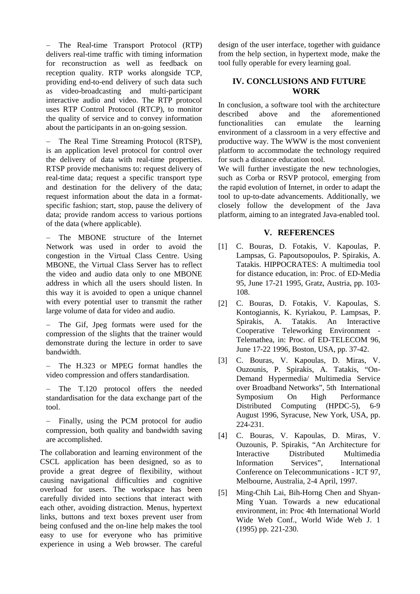− The Real-time Transport Protocol (RTP) delivers real-time traffic with timing information for reconstruction as well as feedback on reception quality. RTP works alongside TCP, providing end-to-end delivery of such data such as video-broadcasting and multi-participant interactive audio and video. The RTP protocol uses RTP Control Protocol (RTCP), to monitor the quality of service and to convey information about the participants in an on-going session.

The Real Time Streaming Protocol (RTSP), is an application level protocol for control over the delivery of data with real-time properties. RTSP provide mechanisms to: request delivery of real-time data; request a specific transport type and destination for the delivery of the data; request information about the data in a formatspecific fashion; start, stop, pause the delivery of data; provide random access to various portions of the data (where applicable).

The MBONE structure of the Internet Network was used in order to avoid the congestion in the Virtual Class Centre. Using MBONE, the Virtual Class Server has to reflect the video and audio data only to one MBONE address in which all the users should listen. In this way it is avoided to open a unique channel with every potential user to transmit the rather large volume of data for video and audio.

The Gif, Jpeg formats were used for the compression of the slights that the trainer would demonstrate during the lecture in order to save bandwidth.

− The H.323 or MPEG format handles the video compression and offers standardisation.

− The T.120 protocol offers the needed standardisation for the data exchange part of the tool.

− Finally, using the PCM protocol for audio compression, both quality and bandwidth saving are accomplished.

The collaboration and learning environment of the CSCL application has been designed, so as to provide a great degree of flexibility, without causing navigational difficulties and cognitive overload for users. The workspace has been carefully divided into sections that interact with each other, avoiding distraction. Menus, hypertext links, buttons and text boxes prevent user from being confused and the on-line help makes the tool easy to use for everyone who has primitive experience in using a Web browser. The careful

design of the user interface, together with guidance from the help section, in hypertext mode, make the tool fully operable for every learning goal.

## **IV. CONCLUSIONS AND FUTURE WORK**

In conclusion, a software tool with the architecture described above and the aforementioned functionalities can emulate the learning environment of a classroom in a very effective and productive way. The WWW is the most convenient platform to accommodate the technology required for such a distance education tool.

We will further investigate the new technologies, such as Corba or RSVP protocol, emerging from the rapid evolution of Internet, in order to adapt the tool to up-to-date advancements. Additionally, we closely follow the development of the Java platform, aiming to an integrated Java-enabled tool.

#### **V. REFERENCES**

- [1] C. Bouras, D. Fotakis, V. Kapoulas, P. Lampsas, G. Papoutsopoulos, P. Spirakis, A. Tatakis. HIPPOCRATES: A multimedia tool for distance education, in: Proc. of ED-Media 95, June 17-21 1995, Gratz, Austria, pp. 103- 108.
- [2] C. Bouras, D. Fotakis, V. Kapoulas, S. Kontogiannis, K. Kyriakou, P. Lampsas, P. Spirakis, A. Tatakis. An Interactive Cooperative Teleworking Environment - Telemathea, in: Proc. of ED-TELECOM 96, June 17-22 1996, Boston, USA, pp. 37-42.
- [3] C. Bouras, V. Kapoulas, D. Miras, V. Ouzounis, P. Spirakis, A. Tatakis, "On-Demand Hypermedia/ Multimedia Service over Broadband Networks", 5th International Symposium On High Performance Distributed Computing (HPDC-5), 6-9 August 1996, Syracuse, New York, USA, pp. 224-231.
- [4] C. Bouras, V. Kapoulas, D. Miras, V. Ouzounis, P. Spirakis, "An Architecture for Interactive Distributed Multimedia Information Services", International Conference on Telecommunications - ICT 97, Melbourne, Australia, 2-4 April, 1997.
- [5] Ming-Chih Lai, Bih-Horng Chen and Shyan-Ming Yuan. Towards a new educational environment, in: Proc 4th International World Wide Web Conf., World Wide Web J. 1 (1995) pp. 221-230.